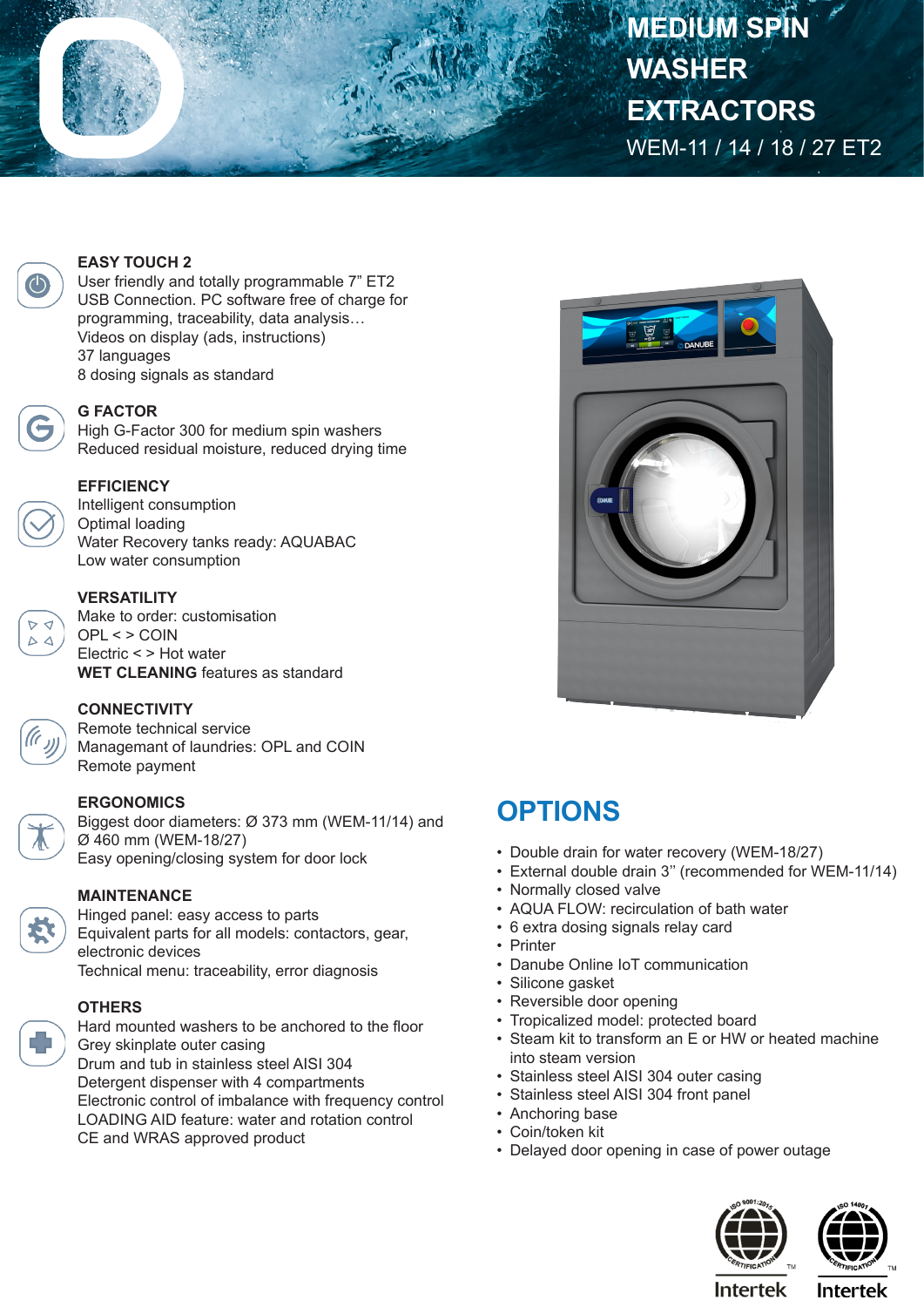**MEDIUM SPIN WASHER EXTRACTORS** WEM-11 / 14 / 18 / 27 ET2



#### **EASY TOUCH 2**

User friendly and totally programmable 7" ET2 USB Connection. PC software free of charge for programming, traceability, data analysis… Videos on display (ads, instructions) 37 languages 8 dosing signals as standard



## **G FACTOR**

High G-Factor 300 for medium spin washers Reduced residual moisture, reduced drying time

## **EFFICIENCY**

Intelligent consumption Optimal loading Water Recovery tanks ready: AQUABAC Low water consumption



 $\Delta$   $\Delta$ 

#### **VERSATILITY**

Make to order: customisation OPL < > COIN Electric < > Hot water **WET CLEANING** features as standard



Remote technical service Managemant of laundries: OPL and COIN Remote payment

# **ERGONOMICS**

Biggest door diameters: Ø 373 mm (WEM-11/14) and Ø 460 mm (WEM-18/27) Easy opening/closing system for door lock

#### **MAINTENANCE**

Hinged panel: easy access to parts Equivalent parts for all models: contactors, gear, electronic devices Technical menu: traceability, error diagnosis

# **OTHERS**

Hard mounted washers to be anchored to the floor Grey skinplate outer casing Drum and tub in stainless steel AISI 304 Detergent dispenser with 4 compartments Electronic control of imbalance with frequency control LOADING AID feature: water and rotation control CE and WRAS approved product



# **OPTIONS**

- Double drain for water recovery (WEM-18/27)
- External double drain 3'' (recommended for WEM-11/14)
- Normally closed valve
- AQUA FLOW: recirculation of bath water
- 6 extra dosing signals relay card
- Printer
- Danube Online IoT communication
- Silicone gasket
- Reversible door opening
- Tropicalized model: protected board
- Steam kit to transform an E or HW or heated machine into steam version
- Stainless steel AISI 304 outer casing
- Stainless steel AISI 304 front panel
- Anchoring base
- Coin/token kit
- Delayed door opening in case of power outage





**Intertek** 

**Intertek**